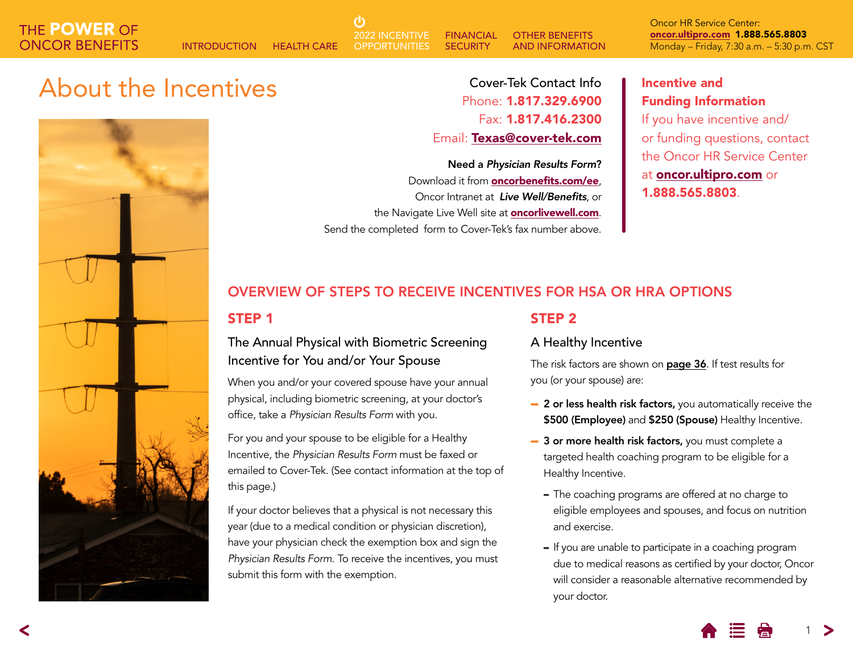**FINANCIAL SECURITY** OTHER BENEFITS AND INFORMATION 2022 INCENTIVE **OPPORTUNITIES** 

Oncor HR Service Center: [oncor.ultipro.com](http://oncor.ultipro.com) 1.888.565.8803 INTRODUCTION HEALTH CARE OPPORTUNITIES SECURITY AND INFORMATION Monday – Friday, 7:30 a.m. – 5:30 p.m. CST

## About the Incentives **Incentive and** Cover-Tek Contact Info **I**ncentive and



Cover-Tek Contact Info Phone: 1.817.329.6900 Fax: 1.817.416.2300 Email: [Texas@cover-tek.com](mailto:Texas@cover-tek.com)

Need a *Physician Results Form*? Download it from **[oncorbenefits.com/](http://oncorretirees.com)ee**, Oncor Intranet at *Live Well/Benefits*, or the Navigate Live Well site at **[oncorlivewell.com](http://oncorlivewell.com)**. Send the completed form to Cover-Tek's fax number above.

## Funding Information If you have incentive and/

or funding questions, contact the Oncor HR Service Center at [oncor.ultipro.com](http://oncor.ultipro.com) or 1.888.565.8803.

## OVERVIEW OF STEPS TO RECEIVE INCENTIVES FOR HSA OR HRA OPTIONS

### STEP 1

### The Annual Physical with Biometric Screening Incentive for You and/or Your Spouse

ረካ

When you and/or your covered spouse have your annual physical, including biometric screening, at your doctor's office, take a *Physician Results Form* with you.

For you and your spouse to be eligible for a Healthy Incentive, the *Physician Results Form* must be faxed or emailed to Cover-Tek. (See contact information at the top of this page.)

If your doctor believes that a physical is not necessary this year (due to a medical condition or physician discretion), have your physician check the exemption box and sign the *Physician Results Form*. To receive the incentives, you must submit this form with the exemption.

#### STEP 2

#### A Healthy Incentive

The risk factors are shown on [page 36](#page-2-0). If test results for you (or your spouse) are:

- − 2 or less health risk factors, you automatically receive the \$500 (Employee) and \$250 (Spouse) Healthy Incentive.
- − 3 or more health risk factors, you must complete a targeted health coaching program to be eligible for a Healthy Incentive.
	- The coaching programs are offered at no charge to eligible employees and spouses, and focus on nutrition and exercise.
	- If you are unable to participate in a coaching program due to medical reasons as certified by your doctor, Oncor will consider a reasonable alternative recommended by your doctor.

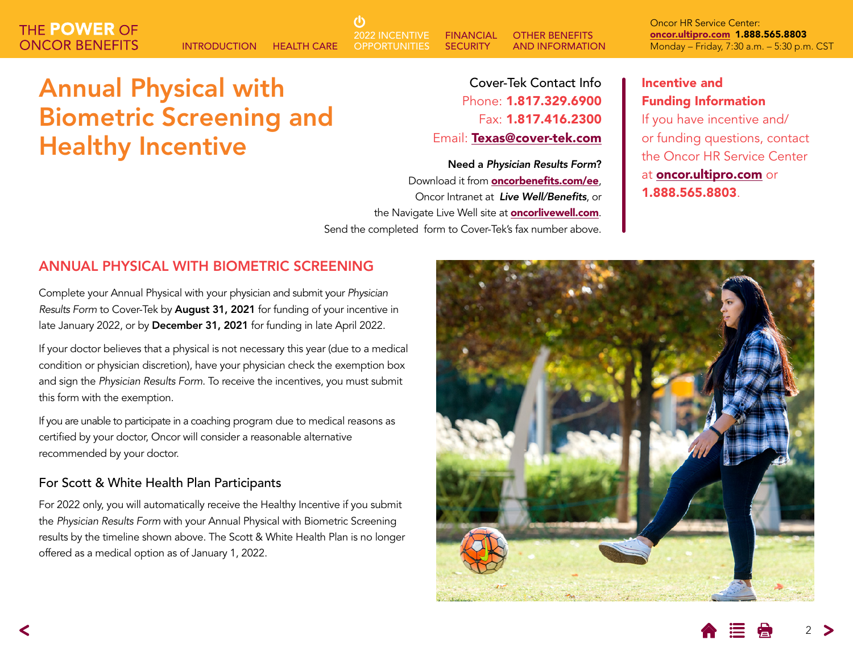**FINANCIAL SECURITY** OTHER BENEFITS AND INFORMATION 2022 INCENTIVE **OPPORTUNITIES** 

Oncor HR Service Center: [oncor.ultipro.com](http://oncor.ultipro.com) 1.888.565.8803 INTRODUCTION HEALTH CARE OPPORTUNITIES SECURITY AND INFORMATION Monday – Friday, 7:30 a.m. – 5:30 p.m. CST

## Annual Physical with Biometric Screening and Healthy Incentive

Cover-Tek Contact Info Phone: 1.817.329.6900 Fax: 1.817.416.2300 Email: [Texas@cover-tek.com](mailto:Texas@cover-tek.com)

Need a *Physician Results Form*? Download it from **[oncorbenefits.com/](http://oncorretirees.com)ee**, Oncor Intranet at *Live Well/Benefits*, or the Navigate Live Well site at **[oncorlivewell.com](http://oncorlivewell.com)**. Send the completed form to Cover-Tek's fax number above.

### Incentive and Funding Information

If you have incentive and/ or funding questions, contact the Oncor HR Service Center at [oncor.ultipro.com](http://oncor.ultipro.com) or 1.888.565.8803.

### ANNUAL PHYSICAL WITH BIOMETRIC SCREENING

Complete your Annual Physical with your physician and submit your *Physician Results Form* to Cover-Tek by August 31, 2021 for funding of your incentive in late January 2022, or by December 31, 2021 for funding in late April 2022.

If your doctor believes that a physical is not necessary this year (due to a medical condition or physician discretion), have your physician check the exemption box and sign the *Physician Results Form*. To receive the incentives, you must submit this form with the exemption.

If you are unable to participate in a coaching program due to medical reasons as certified by your doctor, Oncor will consider a reasonable alternative recommended by your doctor.

#### For Scott & White Health Plan Participants

For 2022 only, you will automatically receive the Healthy Incentive if you submit the *Physician Results Form* with your Annual Physical with Biometric Screening results by the timeline shown above. The Scott & White Health Plan is no longer offered as a medical option as of January 1, 2022.